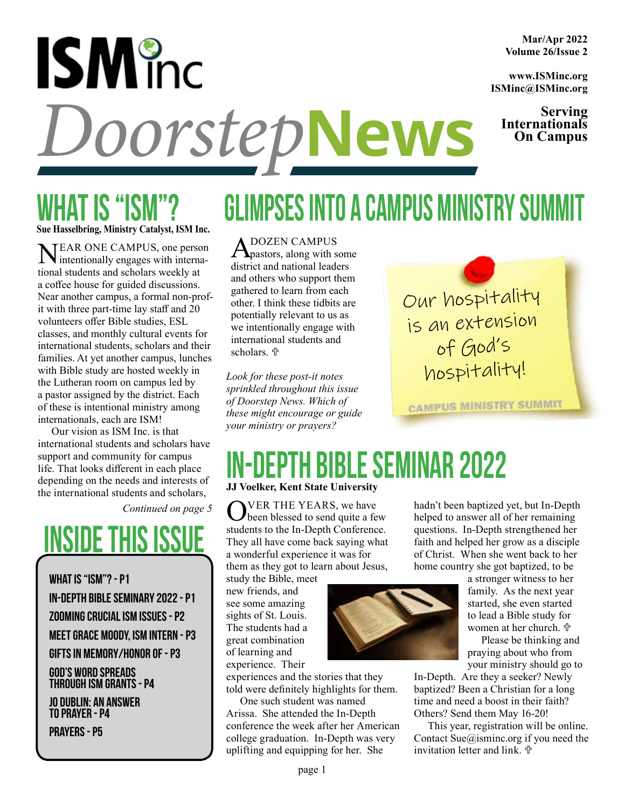# **ISM** inc **DoorstepNews Internationals**

### WHAT IS " **Sue Hasselbring, Ministry Catalyst, ISM Inc.**

Near one campus, one person intentionally engages with international students and scholars weekly at a coffee house for guided discussions. Near another campus, a formal non-profit with three part-time lay staff and 20 volunteers offer Bible studies, ESL classes, and monthly cultural events for international students, scholars and their families. At yet another campus, lunches with Bible study are hosted weekly in the Lutheran room on campus led by a pastor assigned by the district. Each of these is intentional ministry among internationals, each are ISM!

Our vision as ISM Inc. is that international students and scholars have support and community for campus life. That looks different in each place depending on the needs and interests of the international students and scholars,

*Continued on page 5*

# INSIDE THIS ISSI

WHAT IS "ISM"? - P1 In-Depth Bible Seminary 2022 - p1 Zooming Crucial ISM Issues - p2 Meet Grace Moody, ISM Intern - p3 Gifts in Memory/Honor of - p3 God's Word Spreads through ISM Grants - p4

Jo Dublin: An Answer to Prayer - p4

Prayers - p5

## Glimpses into a Campus Ministry Summit

A DOZEN CAMPUS<br>pastors, along with some district and national leaders and others who support them gathered to learn from each other. I think these tidbits are potentially relevant to us as we intentionally engage with international students and scholars. <sup>中</sup>

*Look for these post-it notes sprinkled throughout this issue of Doorstep News. Which of these might encourage or guide your ministry or prayers?*

> hadn't been baptized yet, but In-Depth helped to answer all of her remaining questions. In-Depth strengthened her faith and helped her grow as a disciple of Christ. When she went back to her home country she got baptized, to be

> > a stronger witness to her family. As the next year started, she even started to lead a Bible study for women at her church. <sup>中</sup>

Please be thinking and praying about who from your ministry should go to

In-Depth. Are they a seeker? Newly baptized? Been a Christian for a long time and need a boost in their faith? Others? Send them May 16-20!

This year, registration will be online. Contact Sue@isminc.org if you need the invitation letter and link. #

### In-Depth Bible Seminar 2022 **JJ Voelker, Kent State University**

 $\sum_{\text{box 1}}$  VER THE YEARS, we have been blessed to send quite a few students to the In-Depth Conference. They all have come back saying what a wonderful experience it was for them as they got to learn about Jesus,

study the Bible, meet new friends, and see some amazing sights of St. Louis. The students had a great combination of learning and experience. Their

experiences and the stories that they told were definitely highlights for them.

One such student was named Arissa. She attended the In-Depth conference the week after her American college graduation. In-Depth was very uplifting and equipping for her. She







Our hospitality is an extension of God's hospitality!

**CAMPUS MINISTRY SUMMIT**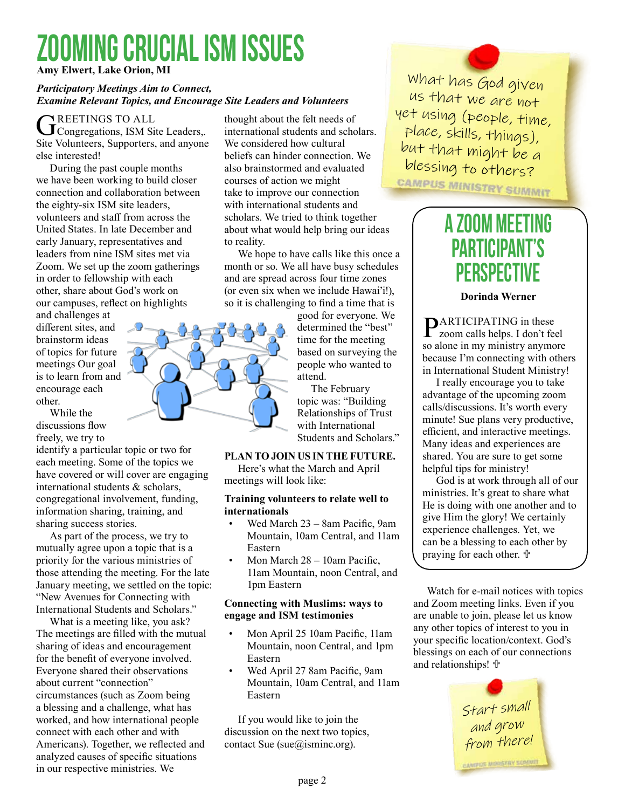# zooming crucial ism issues

**Amy Elwert, Lake Orion, MI**

#### *Participatory Meetings Aim to Connect, Examine Relevant Topics, and Encourage Site Leaders and Volunteers*

GREETINGS TO ALL<br>Congregations, ISM Site Leaders,. Site Volunteers, Supporters, and anyone else interested!

During the past couple months we have been working to build closer connection and collaboration between the eighty-six ISM site leaders, volunteers and staff from across the United States. In late December and early January, representatives and leaders from nine ISM sites met via Zoom. We set up the zoom gatherings in order to fellowship with each other, share about God's work on our campuses, reflect on highlights

and challenges at different sites, and brainstorm ideas of topics for future meetings Our goal is to learn from and encourage each other.

While the discussions flow freely, we try to

identify a particular topic or two for each meeting. Some of the topics we have covered or will cover are engaging international students & scholars, congregational involvement, funding, information sharing, training, and sharing success stories.

As part of the process, we try to mutually agree upon a topic that is a priority for the various ministries of those attending the meeting. For the late January meeting, we settled on the topic: "New Avenues for Connecting with International Students and Scholars."

What is a meeting like, you ask? The meetings are filled with the mutual sharing of ideas and encouragement for the benefit of everyone involved. Everyone shared their observations about current "connection" circumstances (such as Zoom being a blessing and a challenge, what has worked, and how international people connect with each other and with Americans). Together, we reflected and analyzed causes of specific situations in our respective ministries. We

thought about the felt needs of international students and scholars. We considered how cultural beliefs can hinder connection. We also brainstormed and evaluated courses of action we might take to improve our connection with international students and scholars. We tried to think together about what would help bring our ideas to reality.

We hope to have calls like this once a month or so. We all have busy schedules and are spread across four time zones (or even six when we include Hawai'i!), so it is challenging to find a time that is

> good for everyone. We determined the "best" time for the meeting based on surveying the people who wanted to attend.

The February topic was: "Building Relationships of Trust with International Students and Scholars."

#### **Plan to join us in the future.**

Here's what the March and April meetings will look like:

#### **Training volunteers to relate well to internationals**

- Wed March 23 8am Pacific, 9am Mountain, 10am Central, and 11am Eastern
- Mon March 28 10am Pacific, 11am Mountain, noon Central, and 1pm Eastern

#### **Connecting with Muslims: ways to engage and ISM testimonies**

- Mon April 25 10am Pacific, 11am Mountain, noon Central, and 1pm Eastern
- Wed April 27 8am Pacific, 9am Mountain, 10am Central, and 11am Eastern

If you would like to join the discussion on the next two topics, contact Sue (sue@isminc.org).

What has God given us that we are not yet using (people, time, place, skills, things), but that might be a blessing to others?

### A Zoom Meeting Participant's **PERSPECTIVE**

#### **Dorinda Werner**

**PARTICIPATING** in these  $\Gamma$  zoom calls helps. I don't feel so alone in my ministry anymore because I'm connecting with others in International Student Ministry!

I really encourage you to take advantage of the upcoming zoom calls/discussions. It's worth every minute! Sue plans very productive, efficient, and interactive meetings. Many ideas and experiences are shared. You are sure to get some helpful tips for ministry!

God is at work through all of our ministries. It's great to share what He is doing with one another and to give Him the glory! We certainly experience challenges. Yet, we can be a blessing to each other by praying for each other.  $\mathbb{P}$ 

Watch for e-mail notices with topics and Zoom meeting links. Even if you are unable to join, please let us know any other topics of interest to you in your specific location/context. God's blessings on each of our connections and relationships!  $\oplus$ 

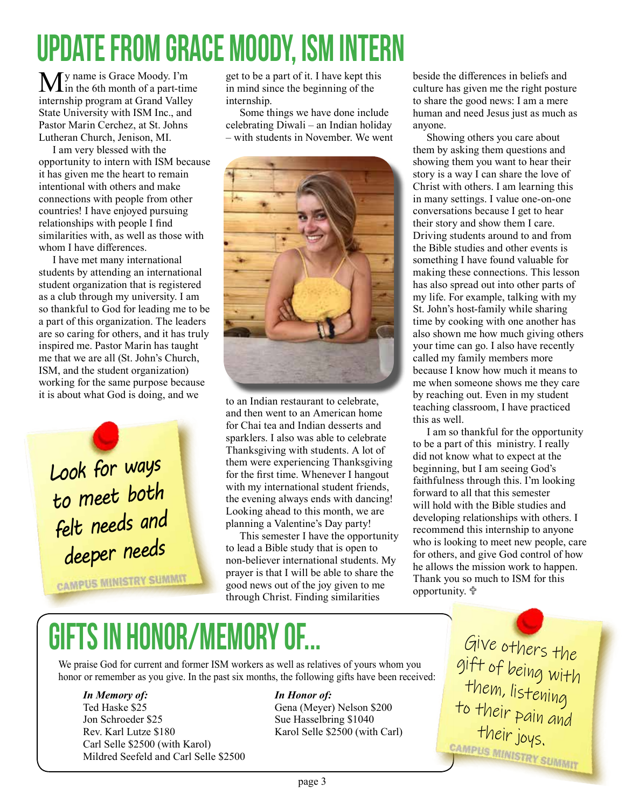# UPDATE FROM Grace Moody, ISM intern

**M** y name is Grace Moody. I'm<br>in the 6th month of a part-time internship program at Grand Valley State University with ISM Inc., and Pastor Marin Cerchez, at St. Johns Lutheran Church, Jenison, MI.

I am very blessed with the opportunity to intern with ISM because it has given me the heart to remain intentional with others and make connections with people from other countries! I have enjoyed pursuing relationships with people I find similarities with, as well as those with whom I have differences.

I have met many international students by attending an international student organization that is registered as a club through my university. I am so thankful to God for leading me to be a part of this organization. The leaders are so caring for others, and it has truly inspired me. Pastor Marin has taught me that we are all (St. John's Church, ISM, and the student organization) working for the same purpose because it is about what God is doing, and we

*Look for ways to meet both felt needs and deeper needs*

**CAMPUS MINISTRY SUMMIT** 

get to be a part of it. I have kept this in mind since the beginning of the internship.

Some things we have done include celebrating Diwali – an Indian holiday – with students in November. We went



to an Indian restaurant to celebrate, and then went to an American home for Chai tea and Indian desserts and sparklers. I also was able to celebrate Thanksgiving with students. A lot of them were experiencing Thanksgiving for the first time. Whenever I hangout with my international student friends, the evening always ends with dancing! Looking ahead to this month, we are planning a Valentine's Day party!

This semester I have the opportunity to lead a Bible study that is open to non-believer international students. My prayer is that I will be able to share the good news out of the joy given to me through Christ. Finding similarities

beside the differences in beliefs and culture has given me the right posture to share the good news: I am a mere human and need Jesus just as much as anyone.

Showing others you care about them by asking them questions and showing them you want to hear their story is a way I can share the love of Christ with others. I am learning this in many settings. I value one-on-one conversations because I get to hear their story and show them I care. Driving students around to and from the Bible studies and other events is something I have found valuable for making these connections. This lesson has also spread out into other parts of my life. For example, talking with my St. John's host-family while sharing time by cooking with one another has also shown me how much giving others your time can go. I also have recently called my family members more because I know how much it means to me when someone shows me they care by reaching out. Even in my student teaching classroom, I have practiced this as well.

I am so thankful for the opportunity to be a part of this ministry. I really did not know what to expect at the beginning, but I am seeing God's faithfulness through this. I'm looking forward to all that this semester will hold with the Bible studies and developing relationships with others. I recommend this internship to anyone who is looking to meet new people, care for others, and give God control of how he allows the mission work to happen. Thank you so much to ISM for this opportunity. <sup>中</sup>

# GIFTS IN HONOR/MEMORY OF.

We praise God for current and former ISM workers as well as relatives of yours whom you honor or remember as you give. In the past six months, the following gifts have been received:

#### *In Memory of:*

Ted Haske \$25 Jon Schroeder \$25 Rev. Karl Lutze \$180 Carl Selle \$2500 (with Karol) Mildred Seefeld and Carl Selle \$2500

#### *In Honor of:*

Gena (Meyer) Nelson \$200 Sue Hasselbring \$1040 Karol Selle \$2500 (with Carl)

Give others the gift of being with them, listening to their pain and their joys.<br><sub>campus ministry summit</sub>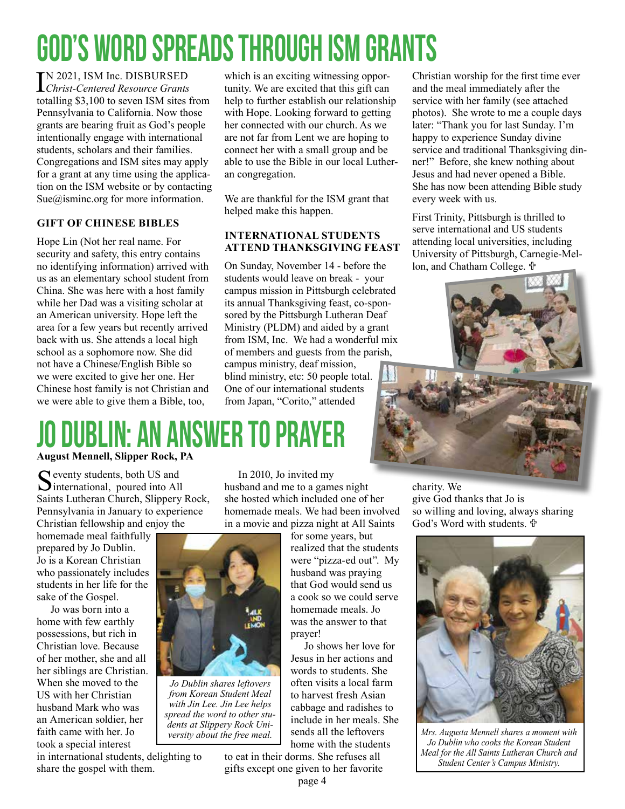# god's word spreads through ism grants

IN 2021, ISM Inc. DISBURS<br>Christ-Centered Resource Gr. *Christ-Centered Resource Grants*  totalling \$3,100 to seven ISM sites from Pennsylvania to California. Now those grants are bearing fruit as God's people intentionally engage with international students, scholars and their families. Congregations and ISM sites may apply for a grant at any time using the application on the ISM website or by contacting Sue $@$ isminc.org for more information.

#### **Gift of Chinese Bibles**

Hope Lin (Not her real name. For security and safety, this entry contains no identifying information) arrived with us as an elementary school student from China. She was here with a host family while her Dad was a visiting scholar at an American university. Hope left the area for a few years but recently arrived back with us. She attends a local high school as a sophomore now. She did not have a Chinese/English Bible so we were excited to give her one. Her Chinese host family is not Christian and we were able to give them a Bible, too,

which is an exciting witnessing opportunity. We are excited that this gift can help to further establish our relationship with Hope. Looking forward to getting her connected with our church. As we are not far from Lent we are hoping to connect her with a small group and be able to use the Bible in our local Lutheran congregation.

We are thankful for the ISM grant that helped make this happen.

#### **International Students Attend Thanksgiving Feast**

On Sunday, November 14 - before the students would leave on break - your campus mission in Pittsburgh celebrated its annual Thanksgiving feast, co-sponsored by the Pittsburgh Lutheran Deaf Ministry (PLDM) and aided by a grant from ISM, Inc. We had a wonderful mix of members and guests from the parish, campus ministry, deaf mission, blind ministry, etc: 50 people total. One of our international students from Japan, "Corito," attended

Christian worship for the first time ever and the meal immediately after the service with her family (see attached photos). She wrote to me a couple days later: "Thank you for last Sunday. I'm happy to experience Sunday divine service and traditional Thanksgiving dinner!" Before, she knew nothing about Jesus and had never opened a Bible. She has now been attending Bible study every week with us.

First Trinity, Pittsburgh is thrilled to serve international and US students attending local universities, including University of Pittsburgh, Carnegie-Mellon, and Chatham College. <sup>中</sup>



### N: AN ANSWER TO PRAYER **August Mennell, Slipper Rock, PA**

 $\bigcap$  eventy students, both US and **D**international, poured into All Saints Lutheran Church, Slippery Rock, Pennsylvania in January to experience Christian fellowship and enjoy the

homemade meal faithfully prepared by Jo Dublin. Jo is a Korean Christian who passionately includes students in her life for the sake of the Gospel.

Jo was born into a home with few earthly possessions, but rich in Christian love. Because of her mother, she and all her siblings are Christian. When she moved to the US with her Christian husband Mark who was an American soldier, her faith came with her. Jo took a special interest

in international students, delighting to share the gospel with them.

In 2010, Jo invited my husband and me to a games night she hosted which included one of her homemade meals. We had been involved in a movie and pizza night at All Saints

> for some years, but realized that the students were "pizza-ed out". My husband was praying that God would send us a cook so we could serve homemade meals. Jo was the answer to that prayer!

Jo shows her love for Jesus in her actions and words to students. She often visits a local farm to harvest fresh Asian cabbage and radishes to include in her meals. She sends all the leftovers home with the students

to eat in their dorms. She refuses all gifts except one given to her favorite charity. We give God thanks that Jo is so willing and loving, always sharing God's Word with students. <sup>中</sup>



*Mrs. Augusta Mennell shares a moment with Jo Dublin who cooks the Korean Student Meal for the All Saints Lutheran Church and Student Center's Campus Ministry.*

*Jo Dublin shares leftovers from Korean Student Meal* 

*with Jin Lee. Jin Lee helps spread the word to other students at Slippery Rock Uni-*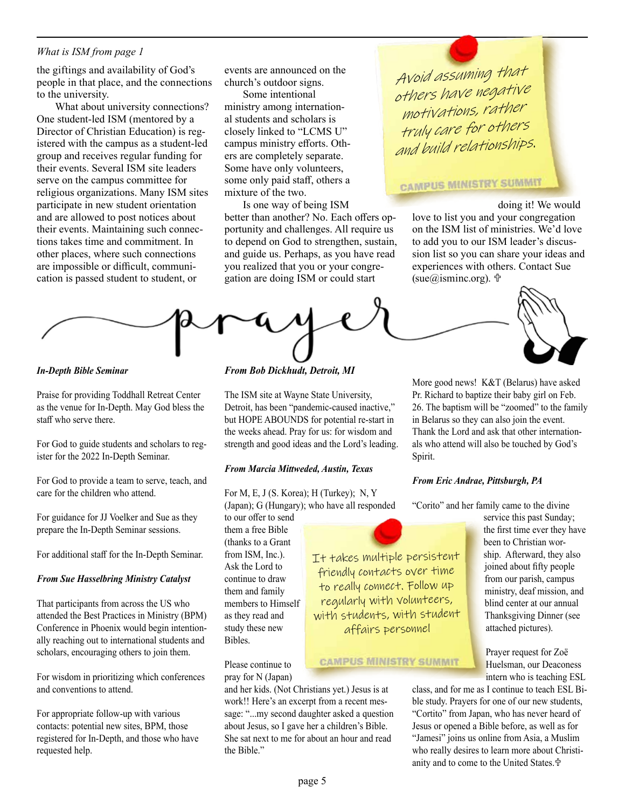#### *What is ISM from page 1*

the giftings and availability of God's people in that place, and the connections to the university.

What about university connections? One student-led ISM (mentored by a Director of Christian Education) is registered with the campus as a student-led group and receives regular funding for their events. Several ISM site leaders serve on the campus committee for religious organizations. Many ISM sites participate in new student orientation and are allowed to post notices about their events. Maintaining such connections takes time and commitment. In other places, where such connections are impossible or difficult, communication is passed student to student, or

events are announced on the church's outdoor signs.

Some intentional ministry among international students and scholars is closely linked to "LCMS U" campus ministry efforts. Others are completely separate. Some have only volunteers, some only paid staff, others a mixture of the two.

Is one way of being ISM better than another? No. Each offers opportunity and challenges. All require us to depend on God to strengthen, sustain, and guide us. Perhaps, as you have read you realized that you or your congregation are doing ISM or could start

Avoid assuming that others have negative motivations, rather truly care for others and build relationships.

### **CAMPUS MINISTRY SUMMIT**

doing it! We would love to list you and your congregation on the ISM list of ministries. We'd love to add you to our ISM leader's discussion list so you can share your ideas and experiences with others. Contact Sue (sue@isminc.org).  $\mathbb{t}$ 



*In-Depth Bible Seminar*

Praise for providing Toddhall Retreat Center as the venue for In-Depth. May God bless the staff who serve there.

For God to guide students and scholars to register for the 2022 In-Depth Seminar.

For God to provide a team to serve, teach, and care for the children who attend.

For guidance for JJ Voelker and Sue as they prepare the In-Depth Seminar sessions.

For additional staff for the In-Depth Seminar.

#### *From Sue Hasselbring Ministry Catalyst*

That participants from across the US who attended the Best Practices in Ministry (BPM) Conference in Phoenix would begin intentionally reaching out to international students and scholars, encouraging others to join them.

For wisdom in prioritizing which conferences and conventions to attend.

For appropriate follow-up with various contacts: potential new sites, BPM, those registered for In-Depth, and those who have requested help.

*From Bob Dickhudt, Detroit, MI*

The ISM site at Wayne State University, Detroit, has been "pandemic-caused inactive," but HOPE ABOUNDS for potential re-start in the weeks ahead. Pray for us: for wisdom and strength and good ideas and the Lord's leading.

#### *From Marcia Mittweded, Austin, Texas*

For M, E, J (S. Korea); H (Turkey); N, Y (Japan); G (Hungary); who have all responded

to our offer to send them a free Bible (thanks to a Grant from ISM, Inc.). Ask the Lord to continue to draw them and family members to Himself as they read and study these new Bibles.

Please continue to pray for N (Japan)

and her kids. (Not Christians yet.) Jesus is at work!! Here's an excerpt from a recent message: "...my second daughter asked a question about Jesus, so I gave her a children's Bible. She sat next to me for about an hour and read the Bible."

More good news! K&T (Belarus) have asked Pr. Richard to baptize their baby girl on Feb. 26. The baptism will be "zoomed" to the family in Belarus so they can also join the event. Thank the Lord and ask that other internationals who attend will also be touched by God's Spirit.

#### *From Eric Andrae, Pittsburgh, PA*

"Corito" and her family came to the divine

It takes multiple persistent friendly contacts over time to really connect. Follow up regularly with volunteers, with students, with student affairs personnel

#### **CAMPUS MINISTRY SUMMIT**

service this past Sunday; the first time ever they have been to Christian worship. Afterward, they also joined about fifty people from our parish, campus ministry, deaf mission, and blind center at our annual Thanksgiving Dinner (see attached pictures).

Prayer request for Zoë Huelsman, our Deaconess intern who is teaching ESL

class, and for me as I continue to teach ESL Bible study. Prayers for one of our new students, "Cortito" from Japan, who has never heard of Jesus or opened a Bible before, as well as for "Jamesi" joins us online from Asia, a Muslim who really desires to learn more about Christianity and to come to the United States.<sup>中</sup>